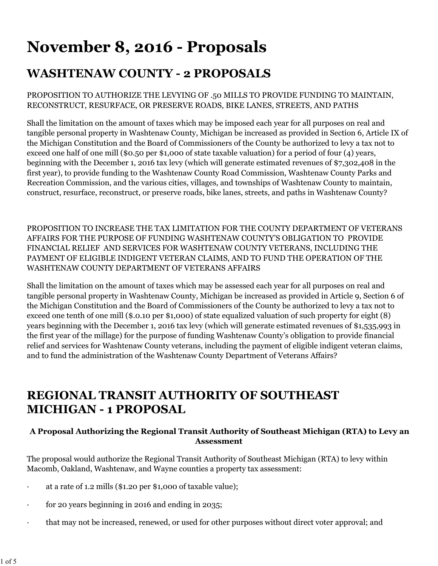# **November 8, 2016 - Proposals**

# **WASHTENAW COUNTY - 2 PROPOSALS**

### PROPOSITION TO AUTHORIZE THE LEVYING OF .50 MILLS TO PROVIDE FUNDING TO MAINTAIN, RECONSTRUCT, RESURFACE, OR PRESERVE ROADS, BIKE LANES, STREETS, AND PATHS

Shall the limitation on the amount of taxes which may be imposed each year for all purposes on real and tangible personal property in Washtenaw County, Michigan be increased as provided in Section 6, Article IX of the Michigan Constitution and the Board of Commissioners of the County be authorized to levy a tax not to exceed one half of one mill (\$0.50 per \$1,000 of state taxable valuation) for a period of four (4) years, beginning with the December 1, 2016 tax levy (which will generate estimated revenues of \$7,302,408 in the first year), to provide funding to the Washtenaw County Road Commission, Washtenaw County Parks and Recreation Commission, and the various cities, villages, and townships of Washtenaw County to maintain, construct, resurface, reconstruct, or preserve roads, bike lanes, streets, and paths in Washtenaw County?

PROPOSITION TO INCREASE THE TAX LIMITATION FOR THE COUNTY DEPARTMENT OF VETERANS AFFAIRS FOR THE PURPOSE OF FUNDING WASHTENAW COUNTY'S OBLIGATION TO PROVIDE FINANCIAL RELIEF AND SERVICES FOR WASHTENAW COUNTY VETERANS, INCLUDING THE PAYMENT OF ELIGIBLE INDIGENT VETERAN CLAIMS, AND TO FUND THE OPERATION OF THE WASHTENAW COUNTY DEPARTMENT OF VETERANS AFFAIRS

Shall the limitation on the amount of taxes which may be assessed each year for all purposes on real and tangible personal property in Washtenaw County, Michigan be increased as provided in Article 9, Section 6 of the Michigan Constitution and the Board of Commissioners of the County be authorized to levy a tax not to exceed one tenth of one mill (\$.0.10 per \$1,000) of state equalized valuation of such property for eight (8) years beginning with the December 1, 2016 tax levy (which will generate estimated revenues of \$1,535,993 in the first year of the millage) for the purpose of funding Washtenaw County's obligation to provide financial relief and services for Washtenaw County veterans, including the payment of eligible indigent veteran claims, and to fund the administration of the Washtenaw County Department of Veterans Affairs?

# **REGIONAL TRANSIT AUTHORITY OF SOUTHEAST MICHIGAN - 1 PROPOSAL**

# **A Proposal Authorizing the Regional Transit Authority of Southeast Michigan (RTA) to Levy an Assessment**

The proposal would authorize the Regional Transit Authority of Southeast Michigan (RTA) to levy within Macomb, Oakland, Washtenaw, and Wayne counties a property tax assessment:

- · at a rate of 1.2 mills (\$1.20 per \$1,000 of taxable value);
- for 20 years beginning in 2016 and ending in 2035;
- · that may not be increased, renewed, or used for other purposes without direct voter approval; and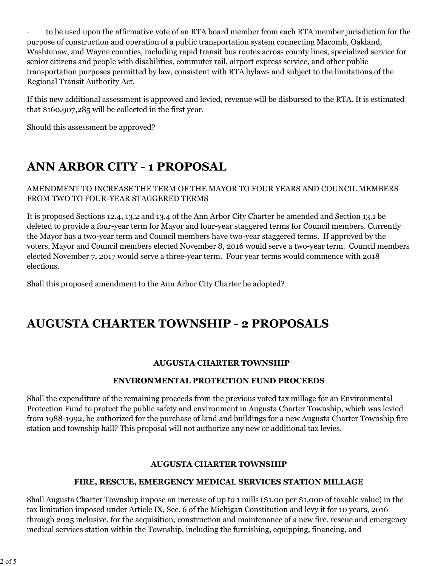· to be used upon the affirmative vote of an RTA board member from each RTA member jurisdiction for the purpose of construction and operation of a public transportation system connecting Macomb, Oakland, Washtenaw, and Wayne counties, including rapid transit bus routes across county lines, specialized service for senior citizens and people with disabilities, commuter rail, airport express service, and other public transportation purposes permitted by law, consistent with RTA bylaws and subject to the limitations of the Regional Transit Authority Act.

If this new additional assessment is approved and levied, revenue will be disbursed to the RTA. It is estimated that \$160,907,285 will be collected in the first year.

Should this assessment be approved?

# **ANN ARBOR CITY - 1 PROPOSAL**

AMENDMENT TO INCREASE THE TERM OF THE MAYOR TO FOUR YEARS AND COUNCIL MEMBERS FROM TWO TO FOUR-YEAR STAGGERED TERMS

It is proposed Sections 12.4, 13.2 and 13.4 of the Ann Arbor City Charter be amended and Section 13.1 be deleted to provide a four-year term for Mayor and four-year staggered terms for Council members. Currently the Mayor has a two-year term and Council members have two-year staggered terms. If approved by the voters, Mayor and Council members elected November 8, 2016 would serve a two-year term. Council members elected November 7, 2017 would serve a three-year term. Four year terms would commence with 2018 elections.

Shall this proposed amendment to the Ann Arbor City Charter be adopted?

# **AUGUSTA CHARTER TOWNSHIP - 2 PROPOSALS**

### **AUGUSTA CHARTER TOWNSHIP**

### **ENVIRONMENTAL PROTECTION FUND PROCEEDS**

Shall the expenditure of the remaining proceeds from the previous voted tax millage for an Environmental Protection Fund to protect the public safety and environment in Augusta Charter Township, which was levied from 1988-1992, be authorized for the purchase of land and buildings for a new Augusta Charter Township fire station and township hall? This proposal will not authorize any new or additional tax levies.

### **AUGUSTA CHARTER TOWNSHIP**

### **FIRE, RESCUE, EMERGENCY MEDICAL SERVICES STATION MILLAGE**

Shall Augusta Charter Township impose an increase of up to 1 mills (\$1.00 per \$1,000 of taxable value) in the tax limitation imposed under Article IX, Sec. 6 of the Michigan Constitution and levy it for 10 years, 2016 through 2025 inclusive, for the acquisition, construction and maintenance of a new fire, rescue and emergency medical services station within the Township, including the furnishing, equipping, financing, and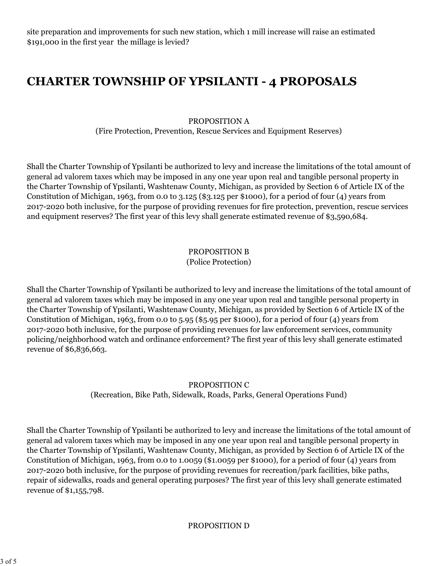site preparation and improvements for such new station, which 1 mill increase will raise an estimated \$191,000 in the first year the millage is levied?

# **CHARTER TOWNSHIP OF YPSILANTI - 4 PROPOSALS**

PROPOSITION A (Fire Protection, Prevention, Rescue Services and Equipment Reserves)

Shall the Charter Township of Ypsilanti be authorized to levy and increase the limitations of the total amount of general ad valorem taxes which may be imposed in any one year upon real and tangible personal property in the Charter Township of Ypsilanti, Washtenaw County, Michigan, as provided by Section 6 of Article IX of the Constitution of Michigan, 1963, from 0.0 to 3.125 (\$3.125 per \$1000), for a period of four (4) years from 2017-2020 both inclusive, for the purpose of providing revenues for fire protection, prevention, rescue services and equipment reserves? The first year of this levy shall generate estimated revenue of \$3,590,684.

# PROPOSITION B

#### (Police Protection)

Shall the Charter Township of Ypsilanti be authorized to levy and increase the limitations of the total amount of general ad valorem taxes which may be imposed in any one year upon real and tangible personal property in the Charter Township of Ypsilanti, Washtenaw County, Michigan, as provided by Section 6 of Article IX of the Constitution of Michigan, 1963, from 0.0 to 5.95 (\$5.95 per \$1000), for a period of four (4) years from 2017-2020 both inclusive, for the purpose of providing revenues for law enforcement services, community policing/neighborhood watch and ordinance enforcement? The first year of this levy shall generate estimated revenue of \$6,836,663.

### PROPOSITION C

(Recreation, Bike Path, Sidewalk, Roads, Parks, General Operations Fund)

Shall the Charter Township of Ypsilanti be authorized to levy and increase the limitations of the total amount of general ad valorem taxes which may be imposed in any one year upon real and tangible personal property in the Charter Township of Ypsilanti, Washtenaw County, Michigan, as provided by Section 6 of Article IX of the Constitution of Michigan, 1963, from 0.0 to 1.0059 (\$1.0059 per \$1000), for a period of four  $(4)$  years from 2017-2020 both inclusive, for the purpose of providing revenues for recreation/park facilities, bike paths, repair of sidewalks, roads and general operating purposes? The first year of this levy shall generate estimated revenue of \$1,155,798.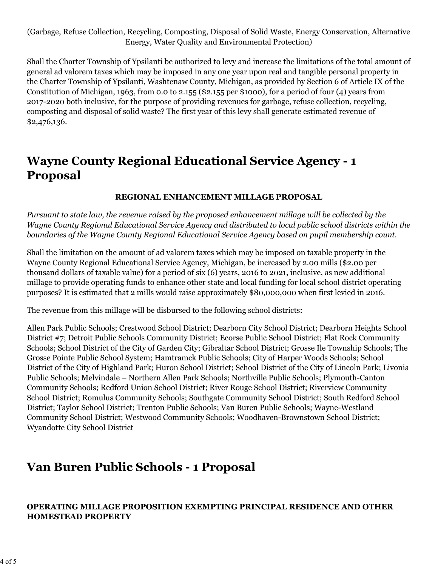(Garbage, Refuse Collection, Recycling, Composting, Disposal of Solid Waste, Energy Conservation, Alternative Energy, Water Quality and Environmental Protection)

Shall the Charter Township of Ypsilanti be authorized to levy and increase the limitations of the total amount of general ad valorem taxes which may be imposed in any one year upon real and tangible personal property in the Charter Township of Ypsilanti, Washtenaw County, Michigan, as provided by Section 6 of Article IX of the Constitution of Michigan, 1963, from 0.0 to 2.155 (\$2.155 per \$1000), for a period of four (4) years from 2017-2020 both inclusive, for the purpose of providing revenues for garbage, refuse collection, recycling, composting and disposal of solid waste? The first year of this levy shall generate estimated revenue of \$2,476,136.

# **Wayne County Regional Educational Service Agency - 1 Proposal**

### **REGIONAL ENHANCEMENT MILLAGE PROPOSAL**

*Pursuant to state law, the revenue raised by the proposed enhancement millage will be collected by the Wayne County Regional Educational Service Agency and distributed to local public school districts within the boundaries of the Wayne County Regional Educational Service Agency based on pupil membership count.*

Shall the limitation on the amount of ad valorem taxes which may be imposed on taxable property in the Wayne County Regional Educational Service Agency, Michigan, be increased by 2.00 mills (\$2.00 per thousand dollars of taxable value) for a period of six (6) years, 2016 to 2021, inclusive, as new additional millage to provide operating funds to enhance other state and local funding for local school district operating purposes? It is estimated that 2 mills would raise approximately \$80,000,000 when first levied in 2016.

The revenue from this millage will be disbursed to the following school districts:

Allen Park Public Schools; Crestwood School District; Dearborn City School District; Dearborn Heights School District #7; Detroit Public Schools Community District; Ecorse Public School District; Flat Rock Community Schools; School District of the City of Garden City; Gibraltar School District; Grosse Ile Township Schools; The Grosse Pointe Public School System; Hamtramck Public Schools; City of Harper Woods Schools; School District of the City of Highland Park; Huron School District; School District of the City of Lincoln Park; Livonia Public Schools; Melvindale – Northern Allen Park Schools; Northville Public Schools; Plymouth-Canton Community Schools; Redford Union School District; River Rouge School District; Riverview Community School District; Romulus Community Schools; Southgate Community School District; South Redford School District; Taylor School District; Trenton Public Schools; Van Buren Public Schools; Wayne-Westland Community School District; Westwood Community Schools; Woodhaven-Brownstown School District; Wyandotte City School District

# **Van Buren Public Schools - 1 Proposal**

# **OPERATING MILLAGE PROPOSITION EXEMPTING PRINCIPAL RESIDENCE AND OTHER HOMESTEAD PROPERTY**